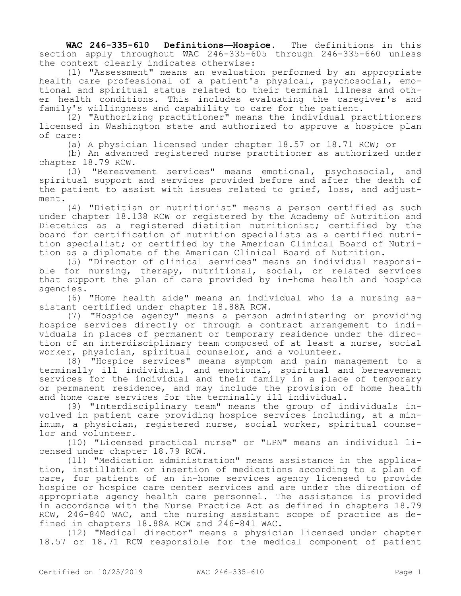**WAC 246-335-610 Definitions—Hospice.** The definitions in this section apply throughout WAC 246-335-605 through 246-335-660 unless the context clearly indicates otherwise:

(1) "Assessment" means an evaluation performed by an appropriate health care professional of a patient's physical, psychosocial, emotional and spiritual status related to their terminal illness and other health conditions. This includes evaluating the caregiver's and family's willingness and capability to care for the patient.

(2) "Authorizing practitioner" means the individual practitioners licensed in Washington state and authorized to approve a hospice plan of care:

(a) A physician licensed under chapter 18.57 or 18.71 RCW; or

(b) An advanced registered nurse practitioner as authorized under chapter 18.79 RCW.

(3) "Bereavement services" means emotional, psychosocial, and spiritual support and services provided before and after the death of the patient to assist with issues related to grief, loss, and adjustment.

(4) "Dietitian or nutritionist" means a person certified as such under chapter 18.138 RCW or registered by the Academy of Nutrition and Dietetics as a registered dietitian nutritionist; certified by the board for certification of nutrition specialists as a certified nutrition specialist; or certified by the American Clinical Board of Nutrition as a diplomate of the American Clinical Board of Nutrition.

(5) "Director of clinical services" means an individual responsible for nursing, therapy, nutritional, social, or related services that support the plan of care provided by in-home health and hospice agencies.

(6) "Home health aide" means an individual who is a nursing assistant certified under chapter 18.88A RCW.

(7) "Hospice agency" means a person administering or providing hospice services directly or through a contract arrangement to individuals in places of permanent or temporary residence under the direction of an interdisciplinary team composed of at least a nurse, social worker, physician, spiritual counselor, and a volunteer.

(8) "Hospice services" means symptom and pain management to a terminally ill individual, and emotional, spiritual and bereavement services for the individual and their family in a place of temporary or permanent residence, and may include the provision of home health and home care services for the terminally ill individual.

(9) "Interdisciplinary team" means the group of individuals involved in patient care providing hospice services including, at a minimum, a physician, registered nurse, social worker, spiritual counselor and volunteer.

(10) "Licensed practical nurse" or "LPN" means an individual licensed under chapter 18.79 RCW.

(11) "Medication administration" means assistance in the application, instillation or insertion of medications according to a plan of care, for patients of an in-home services agency licensed to provide hospice or hospice care center services and are under the direction of appropriate agency health care personnel. The assistance is provided in accordance with the Nurse Practice Act as defined in chapters 18.79 RCW, 246-840 WAC, and the nursing assistant scope of practice as defined in chapters 18.88A RCW and 246-841 WAC.

(12) "Medical director" means a physician licensed under chapter 18.57 or 18.71 RCW responsible for the medical component of patient